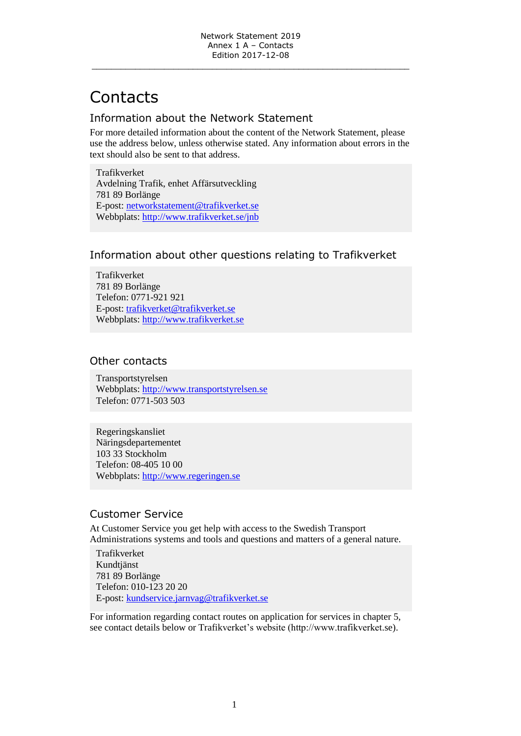# **Contacts**

## Information about the Network Statement

For more detailed information about the content of the Network Statement, please use the address below, unless otherwise stated. Any information about errors in the text should also be sent to that address.

Trafikverket Avdelning Trafik, enhet Affärsutveckling 781 89 Borlänge E-post: [networkstatement@trafikverket.se](mailto:networkstatement@trafikverket.se) Webbplats:<http://www.trafikverket.se/>jnb

### Information about other questions relating to Trafikverket

Trafikverket 781 89 Borlänge Telefon: 0771-921 921 E-post: [trafikverket@trafikverket.se](mailto:trafikverket@trafikverket.se) Webbplats: [http://www.trafikverket.se](http://www.trafikverket.se/)

### Other contacts

Transportstyrelsen Webbplats: [http://www.transportstyrelsen.se](http://www.transportstyrelsen.se/)  Telefon: 0771-503 503

Regeringskansliet Näringsdepartementet 103 33 Stockholm Telefon: 08-405 10 00 Webbplats: [http://www.regeringen.se](http://www.regeringen.se/)

## Customer Service

At Customer Service you get help with access to the Swedish Transport Administrations systems and tools and questions and matters of a general nature.

Trafikverket Kundtjänst 781 89 Borlänge Telefon: 010-123 20 20 E-post: [kundservice.jarnvag@trafikverket.se](mailto:kundservice.jarnvag@trafikverket.se)

For information regarding contact routes on application for services in chapter 5, see contact details below or Trafikverket's website (http://www.trafikverket.se).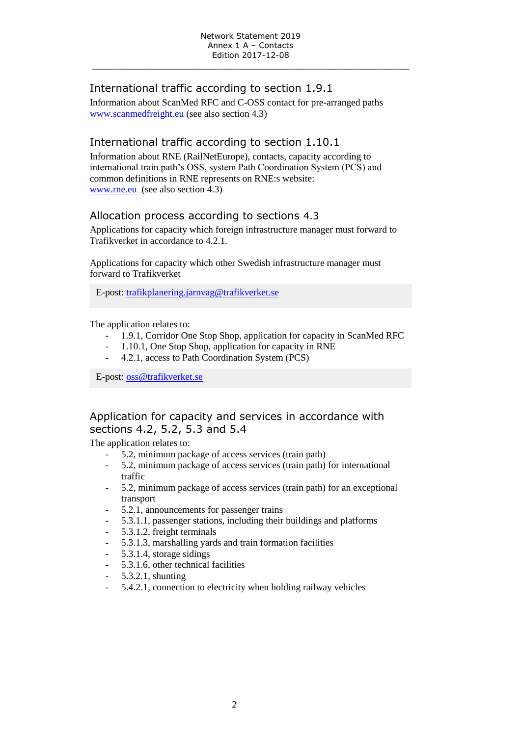\_\_\_\_\_\_\_\_\_\_\_\_\_\_\_\_\_\_\_\_\_\_\_\_\_\_\_\_\_\_\_\_\_\_\_\_\_\_\_\_\_\_\_\_\_\_\_\_\_\_\_\_\_\_\_\_\_\_\_\_\_\_\_\_\_\_

# International traffic according to section 1.9.1

Information about ScanMed RFC and C-OSS contact for pre-arranged paths [www.scanmedfreight.eu](http://www.scanmedfreight.eu/) (see also section 4.3)

## International traffic according to section 1.10.1

Information about RNE (RailNetEurope), contacts, capacity according to international train path's OSS, system Path Coordination System (PCS) and common definitions in RNE represents on RNE:s website: [www.rne.eu](http://www.rne.eu/) (see also section 4.3)

#### Allocation process according to sections 4.3

Applications for capacity which foreign infrastructure manager must forward to Trafikverket in accordance to 4.2.1.

Applications for capacity which other Swedish infrastructure manager must forward to Trafikverket

E-post: [trafikplanering.jarnvag@trafikverket.se](mailto:trafikplanering.jarnvag@trafikverket.se)

The application relates to:

- 1.9.1, Corridor One Stop Shop, application for capacity in ScanMed RFC
- 1.10.1, One Stop Shop, application for capacity in RNE
- 4.2.1, access to Path Coordination System (PCS)

E-post: [oss@trafikverket.se](mailto:oss@trafikverket.se)

# Application for capacity and services in accordance with sections 4.2, 5.2, 5.3 and 5.4

The application relates to:

- 5.2, minimum package of access services (train path)
- 5.2, minimum package of access services (train path) for international traffic
- 5.2, minimum package of access services (train path) for an exceptional transport
- 5.2.1, announcements for passenger trains
- 5.3.1.1, passenger stations, including their buildings and platforms
- 5.3.1.2, freight terminals
- 5.3.1.3, marshalling yards and train formation facilities
- 5.3.1.4, storage sidings
- 5.3.1.6, other technical facilities
- 5.3.2.1, shunting
- 5.4.2.1, connection to electricity when holding railway vehicles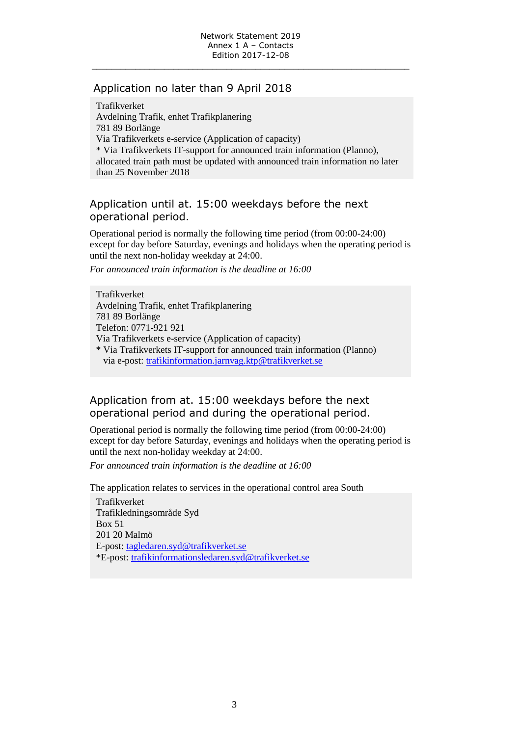\_\_\_\_\_\_\_\_\_\_\_\_\_\_\_\_\_\_\_\_\_\_\_\_\_\_\_\_\_\_\_\_\_\_\_\_\_\_\_\_\_\_\_\_\_\_\_\_\_\_\_\_\_\_\_\_\_\_\_\_\_\_\_\_\_\_

#### Application no later than 9 April 2018

Trafikverket Avdelning Trafik, enhet Trafikplanering 781 89 Borlänge Via Trafikverkets e-service (Application of capacity) \* Via Trafikverkets IT-support for announced train information (Planno), allocated train path must be updated with announced train information no later than 25 November 2018

## Application until at. 15:00 weekdays before the next operational period.

Operational period is normally the following time period (from 00:00-24:00) except for day before Saturday, evenings and holidays when the operating period is until the next non-holiday weekday at 24:00.

*For announced train information is the deadline at 16:00*

Trafikverket Avdelning Trafik, enhet Trafikplanering 781 89 Borlänge Telefon: 0771-921 921 Via Trafikverkets e-service (Application of capacity) \* Via Trafikverkets IT-support for announced train information (Planno) via e-post: [trafikinformation.jarnvag.ktp@trafikverket.se](mailto:trafikinformation.jarnvag.ktp@trafikverket.se)

# Application from at. 15:00 weekdays before the next operational period and during the operational period.

Operational period is normally the following time period (from 00:00-24:00) except for day before Saturday, evenings and holidays when the operating period is until the next non-holiday weekday at 24:00.

*For announced train information is the deadline at 16:00*

The application relates to services in the operational control area South

Trafikverket Trafikledningsområde Syd Box 51 201 20 Malmö E-post: [tagledaren.syd@trafikverket.se](mailto:tagledaren.syd@trafikverket.se) \*E-post: [trafikinformationsledaren.syd@trafikverket.se](mailto:trafikinformationsledaren.syd@trafikverket.se)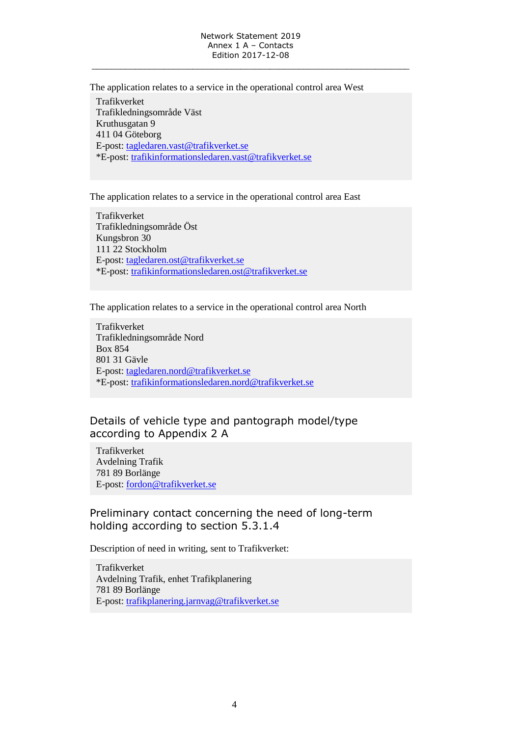The application relates to a service in the operational control area West Trafikverket Trafikledningsområde Väst Kruthusgatan 9 411 04 Göteborg E-post: [tagledaren.vast@trafikverket.se](mailto:tagledaren.vast@trafikverket.se) \*E-post: [trafikinformationsledaren.vast@trafikverket.se](mailto:trafikinformationsledaren.vast@trafikverket.se)

The application relates to a service in the operational control area East

Trafikverket Trafikledningsområde Öst Kungsbron 30 111 22 Stockholm E-post: [tagledaren.ost@trafikverket.se](mailto:tagledaren.ost@trafikverket.se) \*E-post: [trafikinformationsledaren.ost@trafikverket.se](mailto:trafikinformationsledaren.ost@trafikverket.se)

The application relates to a service in the operational control area North

Trafikverket Trafikledningsområde Nord Box 854 801 31 Gävle E-post: [tagledaren.nord@trafikverket.se](mailto:tagledaren.nord@trafikverket.se) \*E-post: [trafikinformationsledaren.nord@trafikverket.se](mailto:trafikinformationsledaren.nord@trafikverket.se)

### Details of vehicle type and pantograph model/type according to Appendix 2 A

Trafikverket Avdelning Trafik 781 89 Borlänge E-post: [fordon@trafikverket.se](mailto:fordon.jarnvag@trafikverket.se)

### Preliminary contact concerning the need of long-term holding according to section 5.3.1.4

Description of need in writing, sent to Trafikverket:

Trafikverket Avdelning Trafik, enhet Trafikplanering 781 89 Borlänge E-post: [trafikplanering.jarnvag@trafikverket.se](mailto:trafikplanering.jarnvag@trafikverket.se)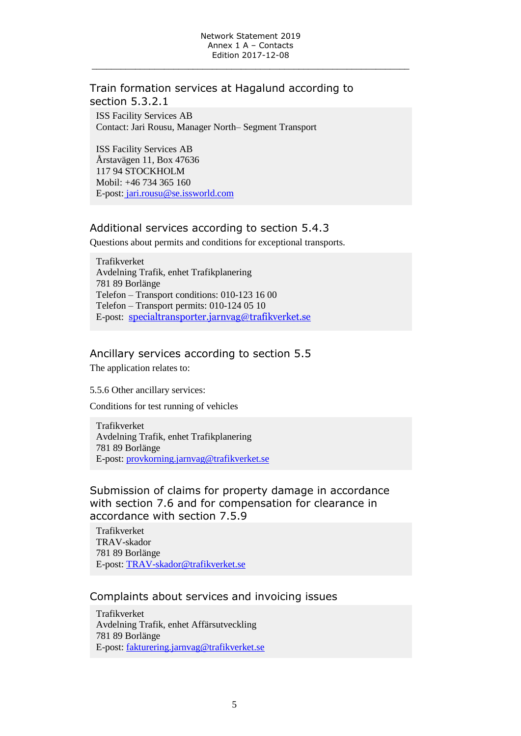#### Train formation services at Hagalund according to section 5.3.2.1

ISS Facility Services AB Contact: Jari Rousu, Manager North– Segment Transport

ISS Facility Services AB Årstavägen 11, Box 47636 117 94 STOCKHOLM Mobil: +46 734 365 160 E-post: jari.rousu@se.issworld.com

#### Additional services according to section 5.4.3

Questions about permits and conditions for exceptional transports.

Trafikverket Avdelning Trafik, enhet Trafikplanering 781 89 Borlänge Telefon – Transport conditions: 010-123 16 00 Telefon – Transport permits: 010-124 05 10 E-post: [specialtransporter.jarnvag@trafikverket.se](mailto:specialtransporter.jarnvag@trafikverket.se)

### Ancillary services according to section 5.5

The application relates to:

5.5.6 Other ancillary services:

Conditions for test running of vehicles

Trafikverket Avdelning Trafik, enhet Trafikplanering 781 89 Borlänge E-post: [provkorning.jarnvag@trafikverket.se](mailto:provkorning.jarnvag@trafikverket.se)

Submission of claims for property damage in accordance with section 7.6 and for compensation for clearance in accordance with section 7.5.9

Trafikverket TRAV-skador 781 89 Borlänge E-post: [TRAV-skador@trafikverket.se](mailto:TRAV-skador@trafikverket.se)

#### Complaints about services and invoicing issues

Trafikverket Avdelning Trafik, enhet Affärsutveckling 781 89 Borlänge E-post: [fakturering.jarnvag@trafikverket.se](mailto:fakturering.jarnvag@trafikverket.se)